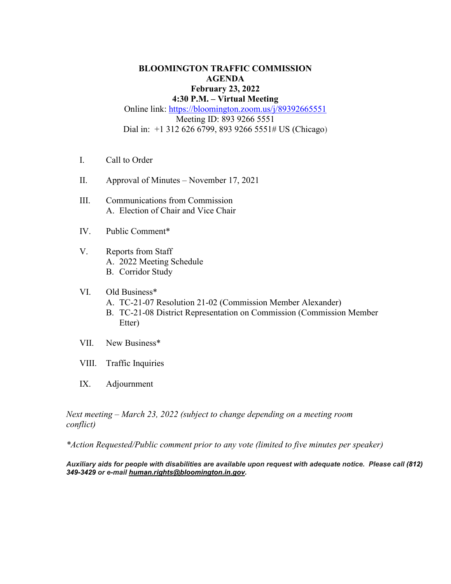### **BLOOMINGTON TRAFFIC COMMISSION AGENDA February 23, 2022 4:30 P.M. – Virtual Meeting** Online link: https://bloomington.zoom.us/j/89392665551 Meeting ID: 893 9266 5551 Dial in: +1 312 626 6799, 893 9266 5551# US (Chicago)

- I. Call to Order
- II. Approval of Minutes November 17, 2021
- III. Communications from Commission A. Election of Chair and Vice Chair
- IV. Public Comment\*
- V. Reports from Staff A. 2022 Meeting Schedule B. Corridor Study
- VI. Old Business\*
	- A. TC-21-07 Resolution 21-02 (Commission Member Alexander)
	- B. TC-21-08 District Representation on Commission (Commission Member Etter)
- VII. New Business\*
- VIII. Traffic Inquiries
- IX. Adjournment

*Next meeting – March 23, 2022 (subject to change depending on a meeting room conflict)*

*\*Action Requested/Public comment prior to any vote (limited to five minutes per speaker)*

*Auxiliary aids for people with disabilities are available upon request with adequate notice. Please call [\(812\)](about:blank)  [349-3429](about:blank) or e-mail [human.rights@bloomington.in.gov.](mailto:human.rights@bloomington.in.gov)*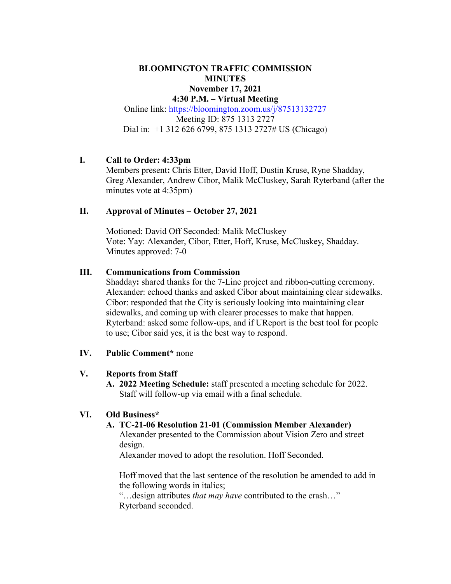### **BLOOMINGTON TRAFFIC COMMISSION MINUTES November 17, 2021 4:30 P.M. – Virtual Meeting**

Online link: [https://bloomington.zoom.us/j/87513132727](https://bloomington.zoom.us/j/87513132727?pwd=NGFDM1NobHRtbGxVVExTN3NPRHRJZz09) Meeting ID: 875 1313 2727 Dial in: +1 312 626 6799, 875 1313 2727# US (Chicago)

# **I. Call to Order: 4:33pm**

Members present**:** Chris Etter, David Hoff, Dustin Kruse, Ryne Shadday, Greg Alexander, Andrew Cibor, Malik McCluskey, Sarah Ryterband (after the minutes vote at 4:35pm)

### **II. Approval of Minutes – October 27, 2021**

Motioned: David Off Seconded: Malik McCluskey Vote: Yay: Alexander, Cibor, Etter, Hoff, Kruse, McCluskey, Shadday. Minutes approved: 7-0

### **III. Communications from Commission**

Shadday**:** shared thanks for the 7-Line project and ribbon-cutting ceremony. Alexander: echoed thanks and asked Cibor about maintaining clear sidewalks. Cibor: responded that the City is seriously looking into maintaining clear sidewalks, and coming up with clearer processes to make that happen. Ryterband: asked some follow-ups, and if UReport is the best tool for people to use; Cibor said yes, it is the best way to respond.

### **IV. Public Comment\*** none

### **V. Reports from Staff**

**A. 2022 Meeting Schedule:** staff presented a meeting schedule for 2022. Staff will follow-up via email with a final schedule.

### **VI. Old Business\***

# **A. TC-21-06 Resolution 21-01 (Commission Member Alexander)**

Alexander presented to the Commission about Vision Zero and street design.

Alexander moved to adopt the resolution. Hoff Seconded.

Hoff moved that the last sentence of the resolution be amended to add in the following words in italics;

"…design attributes *that may have* contributed to the crash…" Ryterband seconded.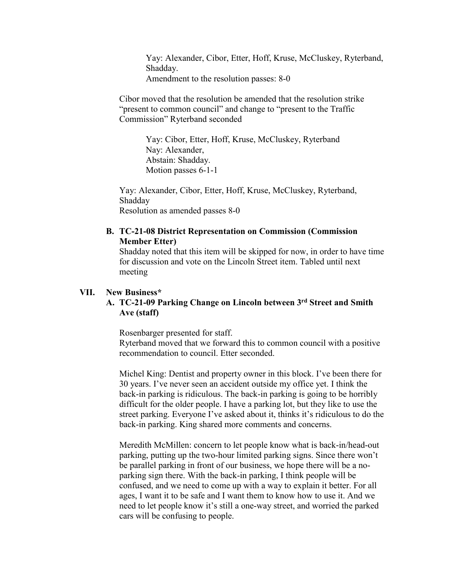Yay: Alexander, Cibor, Etter, Hoff, Kruse, McCluskey, Ryterband, Shadday. Amendment to the resolution passes: 8-0

Cibor moved that the resolution be amended that the resolution strike "present to common council" and change to "present to the Traffic Commission" Ryterband seconded

> Yay: Cibor, Etter, Hoff, Kruse, McCluskey, Ryterband Nay: Alexander, Abstain: Shadday. Motion passes 6-1-1

Yay: Alexander, Cibor, Etter, Hoff, Kruse, McCluskey, Ryterband, Shadday Resolution as amended passes 8-0

### **B. TC-21-08 District Representation on Commission (Commission Member Etter)**

Shadday noted that this item will be skipped for now, in order to have time for discussion and vote on the Lincoln Street item. Tabled until next meeting

#### **VII. New Business\***

### **A. TC-21-09 Parking Change on Lincoln between 3rd Street and Smith Ave (staff)**

Rosenbarger presented for staff.

Ryterband moved that we forward this to common council with a positive recommendation to council. Etter seconded.

Michel King: Dentist and property owner in this block. I've been there for 30 years. I've never seen an accident outside my office yet. I think the back-in parking is ridiculous. The back-in parking is going to be horribly difficult for the older people. I have a parking lot, but they like to use the street parking. Everyone I've asked about it, thinks it's ridiculous to do the back-in parking. King shared more comments and concerns.

Meredith McMillen: concern to let people know what is back-in/head-out parking, putting up the two-hour limited parking signs. Since there won't be parallel parking in front of our business, we hope there will be a noparking sign there. With the back-in parking, I think people will be confused, and we need to come up with a way to explain it better. For all ages, I want it to be safe and I want them to know how to use it. And we need to let people know it's still a one-way street, and worried the parked cars will be confusing to people.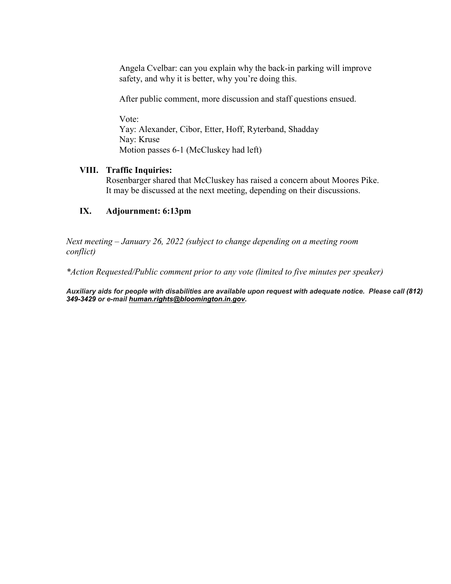Angela Cvelbar: can you explain why the back-in parking will improve safety, and why it is better, why you're doing this.

After public comment, more discussion and staff questions ensued.

Vote: Yay: Alexander, Cibor, Etter, Hoff, Ryterband, Shadday Nay: Kruse Motion passes 6-1 (McCluskey had left)

#### **VIII. Traffic Inquiries:**

Rosenbarger shared that McCluskey has raised a concern about Moores Pike. It may be discussed at the next meeting, depending on their discussions.

### **IX. Adjournment: 6:13pm**

*Next meeting – January 26, 2022 (subject to change depending on a meeting room conflict)*

*\*Action Requested/Public comment prior to any vote (limited to five minutes per speaker)*

*Auxiliary aids for people with disabilities are available upon request with adequate notice. Please call [\(812\)](about:blank)  [349-3429](about:blank) or e-mail [human.rights@bloomington.in.gov.](mailto:human.rights@bloomington.in.gov)*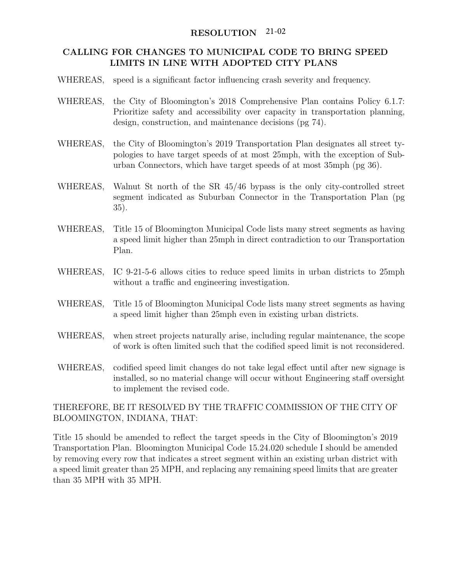# RESOLUTION 21-02

### CALLING FOR CHANGES TO MUNICIPAL CODE TO BRING SPEED LIMITS IN LINE WITH ADOPTED CITY PLANS

- WHEREAS, speed is a significant factor influencing crash severity and frequency.
- WHEREAS, the City of Bloomington's 2018 Comprehensive Plan contains Policy 6.1.7: Prioritize safety and accessibility over capacity in transportation planning, design, construction, and maintenance decisions (pg 74).
- WHEREAS, the City of Bloomington's 2019 Transportation Plan designates all street typologies to have target speeds of at most 25mph, with the exception of Suburban Connectors, which have target speeds of at most 35mph (pg 36).
- WHEREAS, Walnut St north of the SR 45/46 bypass is the only city-controlled street segment indicated as Suburban Connector in the Transportation Plan (pg 35).
- WHEREAS, Title 15 of Bloomington Municipal Code lists many street segments as having a speed limit higher than 25mph in direct contradiction to our Transportation Plan.
- WHEREAS, IC 9-21-5-6 allows cities to reduce speed limits in urban districts to 25mph without a traffic and engineering investigation.
- WHEREAS, Title 15 of Bloomington Municipal Code lists many street segments as having a speed limit higher than 25mph even in existing urban districts.
- WHEREAS, when street projects naturally arise, including regular maintenance, the scope of work is often limited such that the codified speed limit is not reconsidered.
- WHEREAS, codified speed limit changes do not take legal effect until after new signage is installed, so no material change will occur without Engineering staff oversight to implement the revised code.

# THEREFORE, BE IT RESOLVED BY THE TRAFFIC COMMISSION OF THE CITY OF BLOOMINGTON, INDIANA, THAT:

Title 15 should be amended to reflect the target speeds in the City of Bloomington's 2019 Transportation Plan. Bloomington Municipal Code 15.24.020 schedule I should be amended by removing every row that indicates a street segment within an existing urban district with a speed limit greater than 25 MPH, and replacing any remaining speed limits that are greater than 35 MPH with 35 MPH.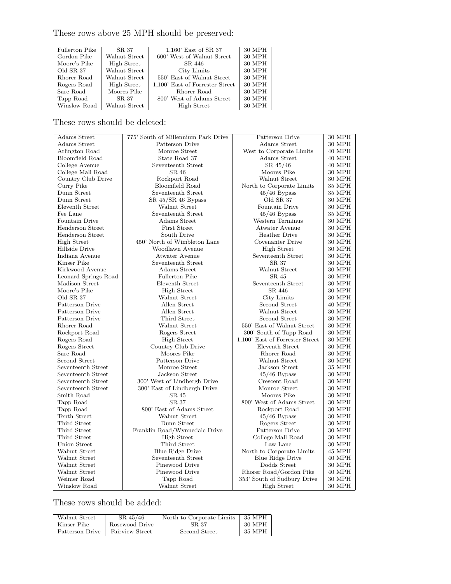These rows above 25 MPH should be preserved:

| <b>Fullerton Pike</b> | SR 37         | 1,160' East of SR 37            | 30 MPH |
|-----------------------|---------------|---------------------------------|--------|
| Gordon Pike           | Walnut Street | 600' West of Walnut Street      | 30 MPH |
| Moore's Pike          | High Street   | SR 446                          | 30 MPH |
| Old SR 37             | Walnut Street | City Limits                     | 30 MPH |
| Rhorer Road           | Walnut Street | 550' East of Walnut Street      | 30 MPH |
| Rogers Road           | High Street   | 1,100' East of Forrester Street | 30 MPH |
| Sare Road             | Moores Pike   | Rhorer Road                     | 30 MPH |
| Tapp Road             | SR 37         | 800' West of Adams Street       | 30 MPH |
| Winslow Road          | Walnut Street | High Street                     | 30 MPH |
|                       |               |                                 |        |

These rows should be deleted:

| <b>Adams</b> Street  | 775' South of Millennium Park Drive | Patterson Drive                 | 30 MPH        |
|----------------------|-------------------------------------|---------------------------------|---------------|
| Adams Street         | Patterson Drive                     | Adams Street                    | 30 MPH        |
| Arlington Road       | Monroe Street                       | West to Corporate Limits        | 40 MPH        |
| Bloomfield Road      | State Road 37                       | Adams Street                    | <b>40 MPH</b> |
| College Avenue       | Seventeenth Street                  | SR 45/46                        | 40 MPH        |
| College Mall Road    | SR 46                               | Moores Pike                     | 30 MPH        |
| Country Club Drive   | Rockport Road                       | Walnut Street                   | 30 MPH        |
| Curry Pike           | <b>Bloomfield Road</b>              | North to Corporate Limits       | 35 MPH        |
| Dunn Street          | Seventeenth Street                  | $45/46$ Bypass                  | 35 MPH        |
| Dunn Street          | $SR 45/SR 46$ Bypass                | Old SR 37                       | 30 MPH        |
| Eleventh Street      | Walnut Street                       | Fountain Drive                  | 30 MPH        |
| Fee Lane             | Seventeenth Street                  | $45/46$ Bypass                  | 35 MPH        |
| Fountain Drive       | Adams Street                        | Western Terminus                | <b>30 MPH</b> |
| Henderson Street     | <b>First Street</b>                 | Atwater Avenue                  | 30 MPH        |
| Henderson Street     | South Drive                         | <b>Heather Drive</b>            | 30 MPH        |
| High Street          | 450' North of Wimbleton Lane        | Covenanter Drive                | 30 MPH        |
| Hillside Drive       | Woodlawn Avenue                     | <b>High Street</b>              | 30 MPH        |
| Indiana Avenue       | Atwater Avenue                      | Seventeenth Street              | 30 MPH        |
| Kinser Pike          | Seventeenth Street                  | SR 37                           | 30 MPH        |
| Kirkwood Avenue      | Adams Street                        | Walnut Street                   | 30 MPH        |
| Leonard Springs Road | <b>Fullerton Pike</b>               | SR 45                           | 30 MPH        |
| Madison Street       | Eleventh Street                     | Seventeenth Street              | 30 MPH        |
| Moore's Pike         | <b>High Street</b>                  | SR 446                          | 30 MPH        |
| Old SR 37            | Walnut Street                       | City Limits                     | 30 MPH        |
| Patterson Drive      | Allen Street                        | Second Street                   | 40 MPH        |
| Patterson Drive      | Allen Street                        | Walnut Street                   | 30 MPH        |
| Patterson Drive      | Third Street                        | Second Street                   | 30 MPH        |
| Rhorer Road          | Walnut Street                       | 550' East of Walnut Street      | <b>30 MPH</b> |
| Rockport Road        | Rogers Street                       | 300' South of Tapp Road         | 30 MPH        |
| Rogers Road          | High Street                         | 1,100' East of Forrester Street | 30 MPH        |
| Rogers Street        | Country Club Drive                  | Eleventh Street                 | 30 MPH        |
| Sare Road            | Moores Pike                         | Rhorer Road                     | 30 MPH        |
| Second Street        | Patterson Drive                     | Walnut Street                   | 30 MPH        |
| Seventeenth Street   | Monroe Street                       | Jackson Street                  | 35 MPH        |
| Seventeenth Street   | Jackson Street                      | $45/46$ Bypass                  | <b>30 MPH</b> |
| Seventeenth Street   | 300' West of Lindbergh Drive        | Crescent Road                   | <b>30 MPH</b> |
| Seventeenth Street   | 300' East of Lindbergh Drive        | Monroe Street                   | 30 MPH        |
| Smith Road           | SR 45                               | Moores Pike                     | 30 MPH        |
| Tapp Road            | SR 37                               | 800' West of Adams Street       | 30 MPH        |
| Tapp Road            | 800' East of Adams Street           | Rockport Road                   | 30 MPH        |
| Tenth Street         | Walnut Street                       | $45/46$ Bypass                  | 30 MPH        |
| Third Street         | Dunn Street                         | Rogers Street                   | 30 MPH        |
| Third Street         | Franklin Road/Wynnedale Drive       | Patterson Drive                 | 30 MPH        |
| Third Street         | <b>High Street</b>                  | College Mall Road               | 30 MPH        |
| Union Street         | Third Street                        | Law Lane                        | 30 MPH        |
| Walnut Street        | <b>Blue Ridge Drive</b>             | North to Corporate Limits       | 45 MPH        |
| Walnut Street        | Seventeenth Street                  | Blue Ridge Drive                | 40 MPH        |
| Walnut Street        | Pinewood Drive                      | Dodds Street                    | 30 MPH        |
| Walnut Street        | Pinewood Drive                      | Rhorer Road/Gordon Pike         | <b>40 MPH</b> |
| Weimer Road          | Tapp Road                           | 353' South of Sudbury Drive     | 30 MPH        |
| Winslow Road         | Walnut Street                       | <b>High Street</b>              | 30 MPH        |

These rows should be added:

| Walnut Street   | $SR\,45/46$     | North to Corporate Limits | 35 MPH |
|-----------------|-----------------|---------------------------|--------|
| Kinser Pike     | Rosewood Drive  | SR 37                     | 30 MPH |
| Patterson Drive | Fairview Street | Second Street             | 35 MPH |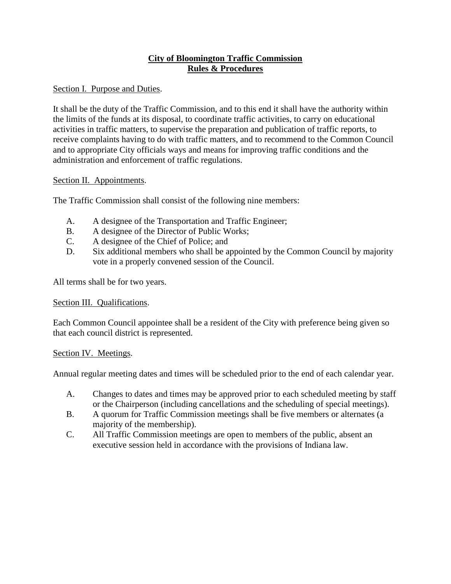# **City of Bloomington Traffic Commission Rules & Procedures**

# Section I. Purpose and Duties.

It shall be the duty of the Traffic Commission, and to this end it shall have the authority within the limits of the funds at its disposal, to coordinate traffic activities, to carry on educational activities in traffic matters, to supervise the preparation and publication of traffic reports, to receive complaints having to do with traffic matters, and to recommend to the Common Council and to appropriate City officials ways and means for improving traffic conditions and the administration and enforcement of traffic regulations.

### Section II. Appointments.

The Traffic Commission shall consist of the following nine members:

- A. A designee of the Transportation and Traffic Engineer;
- B. A designee of the Director of Public Works;
- C. A designee of the Chief of Police; and
- D. Six additional members who shall be appointed by the Common Council by majority vote in a properly convened session of the Council.

All terms shall be for two years.

# Section III. Qualifications.

Each Common Council appointee shall be a resident of the City with preference being given so that each council district is represented.

### Section IV. Meetings.

Annual regular meeting dates and times will be scheduled prior to the end of each calendar year.

- A. Changes to dates and times may be approved prior to each scheduled meeting by staff or the Chairperson (including cancellations and the scheduling of special meetings).
- B. A quorum for Traffic Commission meetings shall be five members or alternates (a majority of the membership).
- C. All Traffic Commission meetings are open to members of the public, absent an executive session held in accordance with the provisions of Indiana law.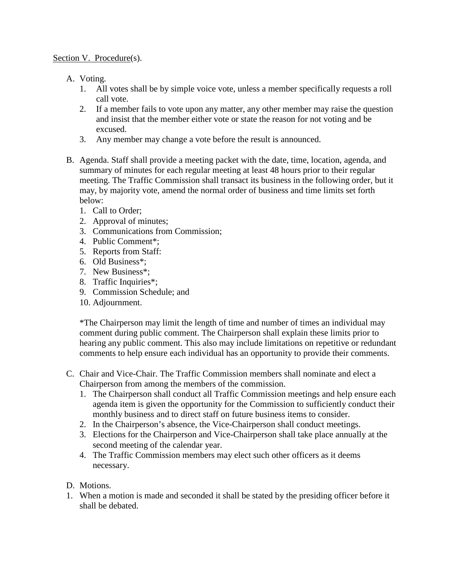### Section V. Procedure(s).

- A. Voting.
	- 1. All votes shall be by simple voice vote, unless a member specifically requests a roll call vote.
	- 2. If a member fails to vote upon any matter, any other member may raise the question and insist that the member either vote or state the reason for not voting and be excused.
	- 3. Any member may change a vote before the result is announced.
- B. Agenda. Staff shall provide a meeting packet with the date, time, location, agenda, and summary of minutes for each regular meeting at least 48 hours prior to their regular meeting. The Traffic Commission shall transact its business in the following order, but it may, by majority vote, amend the normal order of business and time limits set forth below:
	- 1. Call to Order;
	- 2. Approval of minutes;
	- 3. Communications from Commission;
	- 4. Public Comment\*;
	- 5. Reports from Staff:
	- 6. Old Business\*;
	- 7. New Business\*;
	- 8. Traffic Inquiries\*;
	- 9. Commission Schedule; and
	- 10. Adjournment.

\*The Chairperson may limit the length of time and number of times an individual may comment during public comment. The Chairperson shall explain these limits prior to hearing any public comment. This also may include limitations on repetitive or redundant comments to help ensure each individual has an opportunity to provide their comments.

- C. Chair and Vice-Chair. The Traffic Commission members shall nominate and elect a Chairperson from among the members of the commission.
	- 1. The Chairperson shall conduct all Traffic Commission meetings and help ensure each agenda item is given the opportunity for the Commission to sufficiently conduct their monthly business and to direct staff on future business items to consider.
	- 2. In the Chairperson's absence, the Vice-Chairperson shall conduct meetings.
	- 3. Elections for the Chairperson and Vice-Chairperson shall take place annually at the second meeting of the calendar year.
	- 4. The Traffic Commission members may elect such other officers as it deems necessary.
- D. Motions.
- 1. When a motion is made and seconded it shall be stated by the presiding officer before it shall be debated.